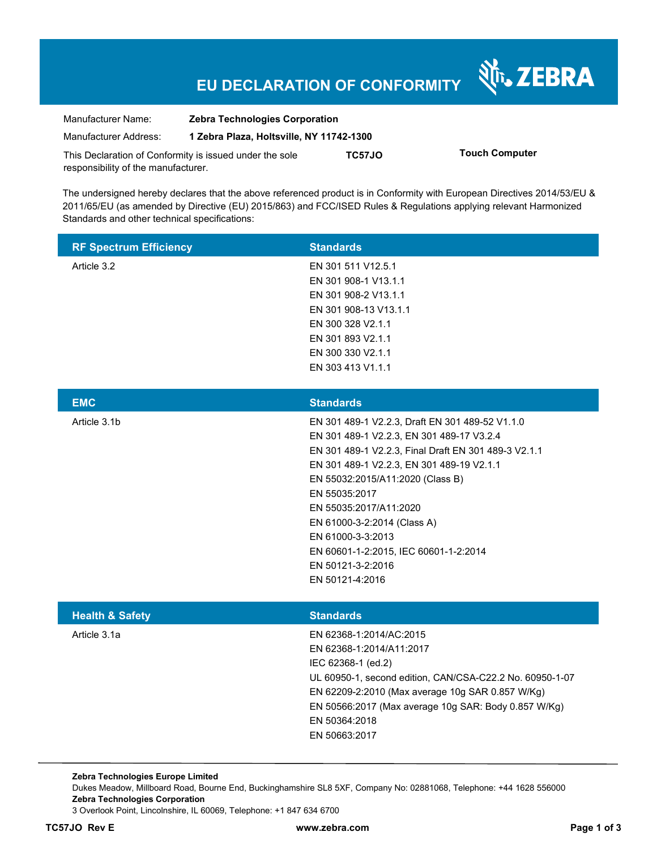# **EU DECLARATION OF CONFORMITY**

Nr. ZEBRA

| Manufacturer Name:                                      | <b>Zebra Technologies Corporation</b>    |        |                       |
|---------------------------------------------------------|------------------------------------------|--------|-----------------------|
| Manufacturer Address:                                   | 1 Zebra Plaza, Holtsville, NY 11742-1300 |        |                       |
| This Declaration of Conformity is issued under the sole |                                          | TC57JO | <b>Touch Computer</b> |
| responsibility of the manufacturer.                     |                                          |        |                       |

The undersigned hereby declares that the above referenced product is in Conformity with European Directives 2014/53/EU & 2011/65/EU (as amended by Directive (EU) 2015/863) and FCC/ISED Rules & Regulations applying relevant Harmonized Standards and other technical specifications:

| <b>RF Spectrum Efficiency</b> | <b>Standards</b>      |
|-------------------------------|-----------------------|
| Article 3.2                   | EN 301 511 V12.5.1    |
|                               | EN 301 908-1 V13.1.1  |
|                               | EN 301 908-2 V13.1.1  |
|                               | EN 301 908-13 V13.1.1 |
|                               | EN 300 328 V2.1.1     |
|                               | EN 301 893 V2.1.1     |
|                               | EN 300 330 V2.1.1     |
|                               | EN 303 413 V1.1.1     |

| <b>EMC</b>   | <b>Standards</b>                                     |
|--------------|------------------------------------------------------|
| Article 3.1b | EN 301 489-1 V2.2.3, Draft EN 301 489-52 V1.1.0      |
|              | EN 301 489-1 V2.2.3, EN 301 489-17 V3.2.4            |
|              | EN 301 489-1 V2.2.3, Final Draft EN 301 489-3 V2.1.1 |
|              | EN 301 489-1 V2.2.3, EN 301 489-19 V2.1.1            |
|              | EN 55032:2015/A11:2020 (Class B)                     |
|              | EN 55035:2017                                        |
|              | EN 55035:2017/A11:2020                               |
|              | EN 61000-3-2:2014 (Class A)                          |
|              | EN 61000-3-3:2013                                    |
|              | EN 60601-1-2:2015. IEC 60601-1-2:2014                |
|              | EN 50121-3-2:2016                                    |
|              | EN 50121-4:2016                                      |
|              |                                                      |

| <b>Health &amp; Safety</b> | <b>Standards</b>                                         |
|----------------------------|----------------------------------------------------------|
| Article 3.1a               | EN 62368-1:2014/AC:2015                                  |
|                            | EN 62368-1:2014/A11:2017                                 |
|                            | IEC 62368-1 (ed.2)                                       |
|                            | UL 60950-1, second edition, CAN/CSA-C22.2 No. 60950-1-07 |
|                            | EN 62209-2:2010 (Max average 10g SAR 0.857 W/Kg)         |
|                            | EN 50566:2017 (Max average 10g SAR: Body 0.857 W/Kg)     |
|                            | EN 50364:2018                                            |
|                            | EN 50663:2017                                            |
|                            |                                                          |

**Zebra Technologies Europe Limited**  Dukes Meadow, Millboard Road, Bourne End, Buckinghamshire SL8 5XF, Company No: 02881068, Telephone: +44 1628 556000 **Zebra Technologies Corporation**  3 Overlook Point, Lincolnshire, IL 60069, Telephone: +1 847 634 6700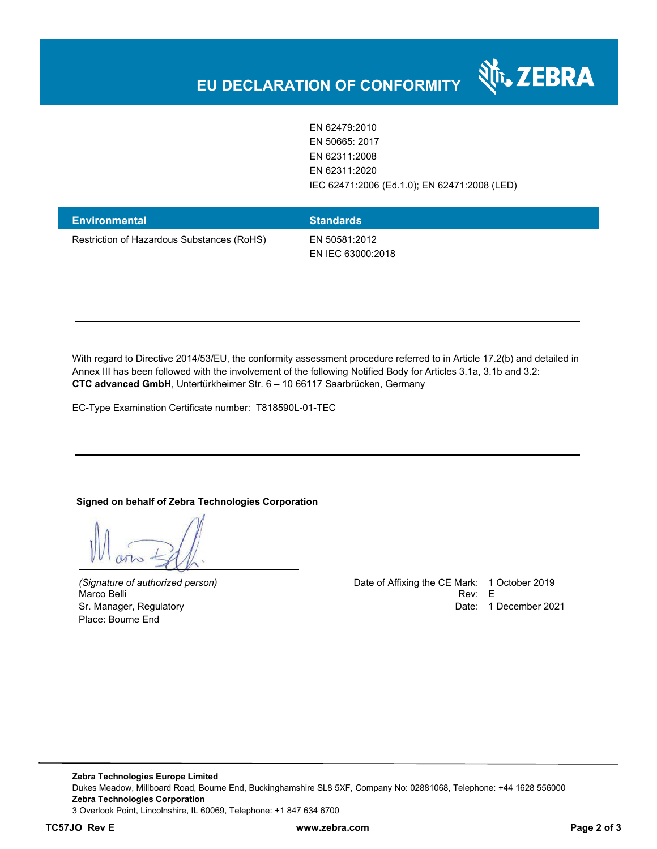EN 62479:2010 EN 50665: 2017 EN 62311:2008 EN 62311:2020 IEC 62471:2006 (Ed.1.0); EN 62471:2008 (LED)

र्शे<sub>ं</sub> ZEBRA

| <b>Environmental</b>                       | <b>Standards</b>  |
|--------------------------------------------|-------------------|
| Restriction of Hazardous Substances (RoHS) | EN 50581:2012     |
|                                            | EN IEC 63000:2018 |

With regard to Directive 2014/53/EU, the conformity assessment procedure referred to in Article 17.2(b) and detailed in Annex III has been followed with the involvement of the following Notified Body for Articles 3.1a, 3.1b and 3.2: **CTC advanced GmbH**, Untertürkheimer Str. 6 – 10 66117 Saarbrücken, Germany

EC-Type Examination Certificate number: T818590L-01-TEC

#### **Signed on behalf of Zebra Technologies Corporation**

Place: Bourne End

*(Signature of authorized person)* Date of Affixing the CE Mark: 1 October 2019 Marco Belli Rev: E Sr. Manager, Regulatory **Date: 1 December 2021 Date: 1 December 2021**